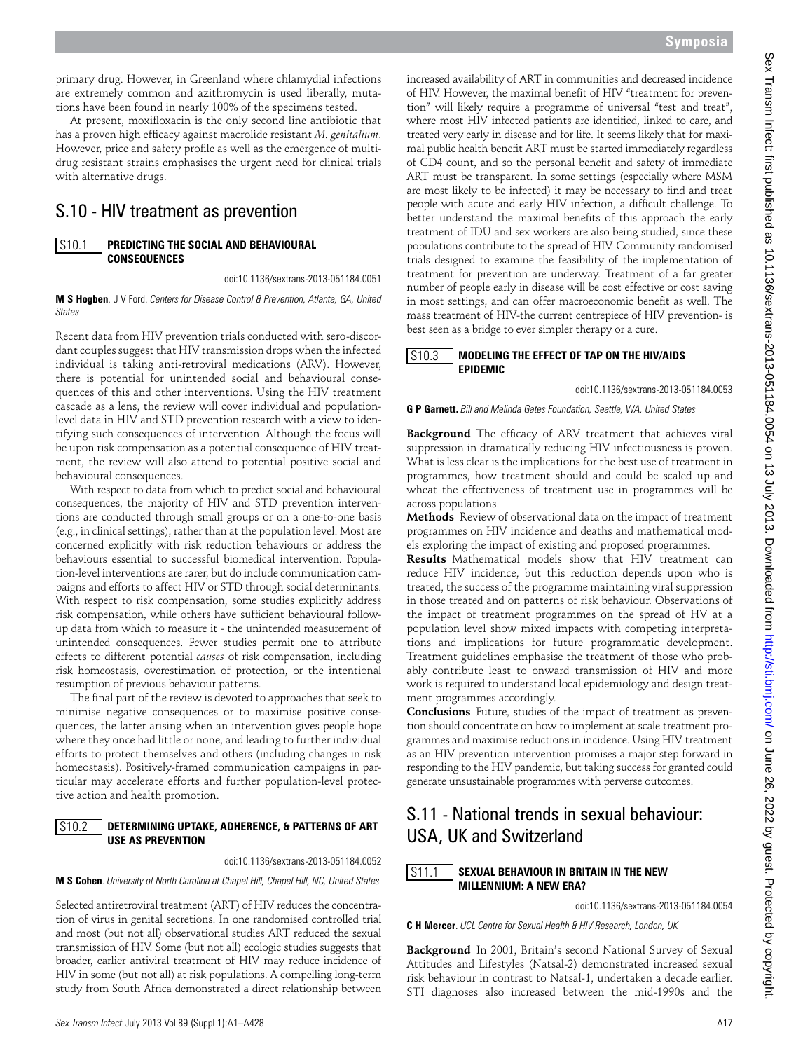primary drug. However, in Greenland where chlamydial infections are extremely common and azithromycin is used liberally, mutations have been found in nearly 100% of the specimens tested.

At present, moxifloxacin is the only second line antibiotic that has a proven high efficacy against macrolide resistant *M. genitalium*. However, price and safety profile as well as the emergence of multidrug resistant strains emphasises the urgent need for clinical trials with alternative drugs.

### S.10 - HIV treatment as prevention

### **Predicting the Social and Behavioural Consequences** S10.1

doi:10.1136/sextrans-2013-051184.0051

**M S Hogben**, J V Ford. *Centers for Disease Control & Prevention, Atlanta, GA, United States* 

Recent data from HIV prevention trials conducted with sero-discordant couples suggest that HIV transmission drops when the infected individual is taking anti-retroviral medications (ARV). However, there is potential for unintended social and behavioural consequences of this and other interventions. Using the HIV treatment cascade as a lens, the review will cover individual and populationlevel data in HIV and STD prevention research with a view to identifying such consequences of intervention. Although the focus will be upon risk compensation as a potential consequence of HIV treatment, the review will also attend to potential positive social and behavioural consequences.

With respect to data from which to predict social and behavioural consequences, the majority of HIV and STD prevention interventions are conducted through small groups or on a one-to-one basis (e.g., in clinical settings), rather than at the population level. Most are concerned explicitly with risk reduction behaviours or address the behaviours essential to successful biomedical intervention. Population-level interventions are rarer, but do include communication campaigns and efforts to affect HIV or STD through social determinants. With respect to risk compensation, some studies explicitly address risk compensation, while others have sufficient behavioural followup data from which to measure it - the unintended measurement of unintended consequences. Fewer studies permit one to attribute effects to different potential *causes* of risk compensation, including risk homeostasis, overestimation of protection, or the intentional resumption of previous behaviour patterns.

The final part of the review is devoted to approaches that seek to minimise negative consequences or to maximise positive consequences, the latter arising when an intervention gives people hope where they once had little or none, and leading to further individual efforts to protect themselves and others (including changes in risk homeostasis). Positively-framed communication campaigns in particular may accelerate efforts and further population-level protective action and health promotion.

### **Determining Uptake, Adherence, & Patterns of ART Use as Prevention** S<sub>10.2</sub>

doi:10.1136/sextrans-2013-051184.0052

**M S Cohen**. *University of North Carolina at Chapel Hill, Chapel Hill, NC, United States* 

Selected antiretroviral treatment (ART) of HIV reduces the concentration of virus in genital secretions. In one randomised controlled trial and most (but not all) observational studies ART reduced the sexual transmission of HIV. Some (but not all) ecologic studies suggests that broader, earlier antiviral treatment of HIV may reduce incidence of HIV in some (but not all) at risk populations. A compelling long-term study from South Africa demonstrated a direct relationship between

increased availability of ART in communities and decreased incidence of HIV. However, the maximal benefit of HIV "treatment for prevention" will likely require a programme of universal "test and treat", where most HIV infected patients are identified, linked to care, and treated very early in disease and for life. It seems likely that for maximal public health benefit ART must be started immediately regardless of CD4 count, and so the personal benefit and safety of immediate ART must be transparent. In some settings (especially where MSM are most likely to be infected) it may be necessary to find and treat people with acute and early HIV infection, a difficult challenge. To better understand the maximal benefits of this approach the early treatment of IDU and sex workers are also being studied, since these populations contribute to the spread of HIV. Community randomised trials designed to examine the feasibility of the implementation of treatment for prevention are underway. Treatment of a far greater number of people early in disease will be cost effective or cost saving in most settings, and can offer macroeconomic benefit as well. The mass treatment of HIV-the current centrepiece of HIV prevention- is best seen as a bridge to ever simpler therapy or a cure.

#### **Modeling the Effect of TAP on the HIV/AIDS Epidemic** S10.3

doi:10.1136/sextrans-2013-051184.0053

**G P Garnett.** *Bill and Melinda Gates Foundation, Seattle, WA, United States* 

**Background** The efficacy of ARV treatment that achieves viral suppression in dramatically reducing HIV infectiousness is proven. What is less clear is the implications for the best use of treatment in programmes, how treatment should and could be scaled up and wheat the effectiveness of treatment use in programmes will be across populations.

**Methods** Review of observational data on the impact of treatment programmes on HIV incidence and deaths and mathematical models exploring the impact of existing and proposed programmes.

**Results** Mathematical models show that HIV treatment can reduce HIV incidence, but this reduction depends upon who is treated, the success of the programme maintaining viral suppression in those treated and on patterns of risk behaviour. Observations of the impact of treatment programmes on the spread of HV at a population level show mixed impacts with competing interpretations and implications for future programmatic development. Treatment guidelines emphasise the treatment of those who probably contribute least to onward transmission of HIV and more work is required to understand local epidemiology and design treatment programmes accordingly.

**Conclusions** Future, studies of the impact of treatment as prevention should concentrate on how to implement at scale treatment programmes and maximise reductions in incidence. Using HIV treatment as an HIV prevention intervention promises a major step forward in responding to the HIV pandemic, but taking success for granted could generate unsustainable programmes with perverse outcomes.

# S.11 - National trends in sexual behaviour: USA, UK and Switzerland

### **Sexual Behaviour in Britain in the New Millennium: A New Era?** S11.1

doi:10.1136/sextrans-2013-051184.0054

**C H Mercer**. *UCL Centre for Sexual Health & HIV Research, London, UK* 

**Background** In 2001, Britain's second National Survey of Sexual Attitudes and Lifestyles (Natsal-2) demonstrated increased sexual risk behaviour in contrast to Natsal-1, undertaken a decade earlier. STI diagnoses also increased between the mid-1990s and the